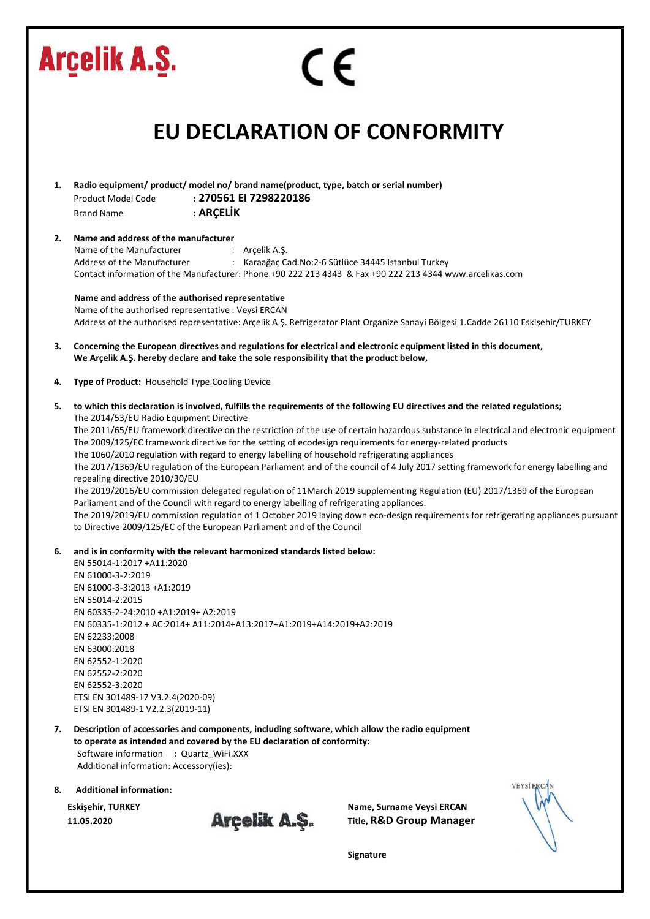|    | <b>Arcelik A.S.</b><br>CE                                                                                                                                                                                                                                                                                                                                                                                                                                                                                                                                                                                                                                                                                                                                                                                                                                                                                                                                                                                                                                                                                                                            |
|----|------------------------------------------------------------------------------------------------------------------------------------------------------------------------------------------------------------------------------------------------------------------------------------------------------------------------------------------------------------------------------------------------------------------------------------------------------------------------------------------------------------------------------------------------------------------------------------------------------------------------------------------------------------------------------------------------------------------------------------------------------------------------------------------------------------------------------------------------------------------------------------------------------------------------------------------------------------------------------------------------------------------------------------------------------------------------------------------------------------------------------------------------------|
|    | <b>EU DECLARATION OF CONFORMITY</b>                                                                                                                                                                                                                                                                                                                                                                                                                                                                                                                                                                                                                                                                                                                                                                                                                                                                                                                                                                                                                                                                                                                  |
| 1. | Radio equipment/ product/ model no/ brand name(product, type, batch or serial number)<br>: 270561 EI 7298220186<br>Product Model Code<br>: ARÇELİK<br><b>Brand Name</b>                                                                                                                                                                                                                                                                                                                                                                                                                                                                                                                                                                                                                                                                                                                                                                                                                                                                                                                                                                              |
| 2. | Name and address of the manufacturer<br>Name of the Manufacturer<br>: Arçelik A.Ş.<br>Address of the Manufacturer<br>: Karaağaç Cad. No: 2-6 Sütlüce 34445 Istanbul Turkey<br>Contact information of the Manufacturer: Phone +90 222 213 4343 & Fax +90 222 213 4344 www.arcelikas.com                                                                                                                                                                                                                                                                                                                                                                                                                                                                                                                                                                                                                                                                                                                                                                                                                                                               |
|    | Name and address of the authorised representative<br>Name of the authorised representative : Veysi ERCAN<br>Address of the authorised representative: Arçelik A.Ş. Refrigerator Plant Organize Sanayi Bölgesi 1.Cadde 26110 Eskişehir/TURKEY                                                                                                                                                                                                                                                                                                                                                                                                                                                                                                                                                                                                                                                                                                                                                                                                                                                                                                         |
| 3. | Concerning the European directives and regulations for electrical and electronic equipment listed in this document,<br>We Arçelik A.Ş. hereby declare and take the sole responsibility that the product below,                                                                                                                                                                                                                                                                                                                                                                                                                                                                                                                                                                                                                                                                                                                                                                                                                                                                                                                                       |
| 4. | Type of Product: Household Type Cooling Device                                                                                                                                                                                                                                                                                                                                                                                                                                                                                                                                                                                                                                                                                                                                                                                                                                                                                                                                                                                                                                                                                                       |
| 5. | to which this declaration is involved, fulfills the requirements of the following EU directives and the related regulations;<br>The 2014/53/EU Radio Equipment Directive<br>The 2011/65/EU framework directive on the restriction of the use of certain hazardous substance in electrical and electronic equipment<br>The 2009/125/EC framework directive for the setting of ecodesign requirements for energy-related products<br>The 1060/2010 regulation with regard to energy labelling of household refrigerating appliances<br>The 2017/1369/EU regulation of the European Parliament and of the council of 4 July 2017 setting framework for energy labelling and<br>repealing directive 2010/30/EU<br>The 2019/2016/EU commission delegated regulation of 11March 2019 supplementing Regulation (EU) 2017/1369 of the European<br>Parliament and of the Council with regard to energy labelling of refrigerating appliances.<br>The 2019/2019/EU commission regulation of 1 October 2019 laying down eco-design requirements for refrigerating appliances pursuant<br>to Directive 2009/125/EC of the European Parliament and of the Council |
| 6. | and is in conformity with the relevant harmonized standards listed below:<br>EN 55014-1:2017 +A11:2020<br>EN 61000-3-2:2019<br>EN 61000-3-3:2013 +A1:2019<br>EN 55014-2:2015<br>EN 60335-2-24:2010 +A1:2019+ A2:2019<br>EN 60335-1:2012 + AC:2014+ A11:2014+A13:2017+A1:2019+A14:2019+A2:2019<br>EN 62233:2008<br>EN 63000:2018<br>EN 62552-1:2020<br>EN 62552-2:2020<br>EN 62552-3:2020<br>ETSI EN 301489-17 V3.2.4(2020-09)<br>ETSI EN 301489-1 V2.2.3(2019-11)                                                                                                                                                                                                                                                                                                                                                                                                                                                                                                                                                                                                                                                                                    |
| 7. | Description of accessories and components, including software, which allow the radio equipment<br>to operate as intended and covered by the EU declaration of conformity:<br>Software information : Quartz_WiFi.XXX<br>Additional information: Accessory(ies):                                                                                                                                                                                                                                                                                                                                                                                                                                                                                                                                                                                                                                                                                                                                                                                                                                                                                       |
| 8. | <b>VEYSI ERCAN</b><br><b>Additional information:</b>                                                                                                                                                                                                                                                                                                                                                                                                                                                                                                                                                                                                                                                                                                                                                                                                                                                                                                                                                                                                                                                                                                 |



Eskişehir, TURKEY Name, Surname Veysi ERCAN<br>11.05.2020 **Arçelik A.Ş.** Title, R&D Group Manage 11.05.2020 **Arcelik A.S.** Title, R&D Group Manager

Signature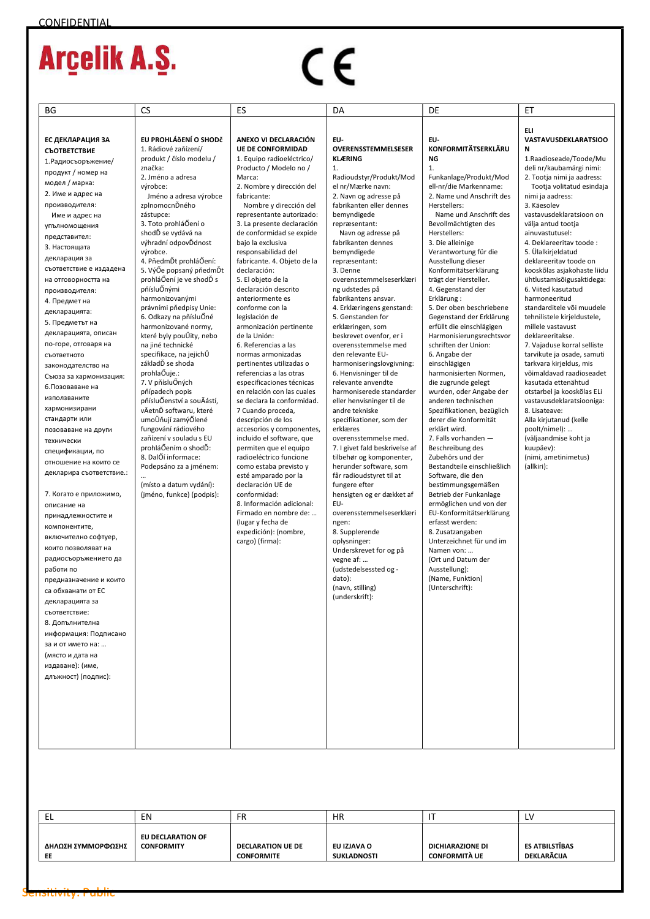# $C \in$

| EL                 | EN                | FR                       | <b>HR</b>          |                      | LV             |
|--------------------|-------------------|--------------------------|--------------------|----------------------|----------------|
| ΔΗΛΩΣΗ ΣΥΜΜΟΡΦΩΣΗΣ | EU DECLARATION OF | <b>DECLARATION UE DE</b> | EU IZJAVA O        | DICHIARAZIONE DI     | ES ATBILSTĪBAS |
| EE                 | <b>CONFORMITY</b> | <b>CONFORMITE</b>        | <b>SUKLADNOSTI</b> | <b>CONFORMITÀ UE</b> | DEKLARĀCIJA    |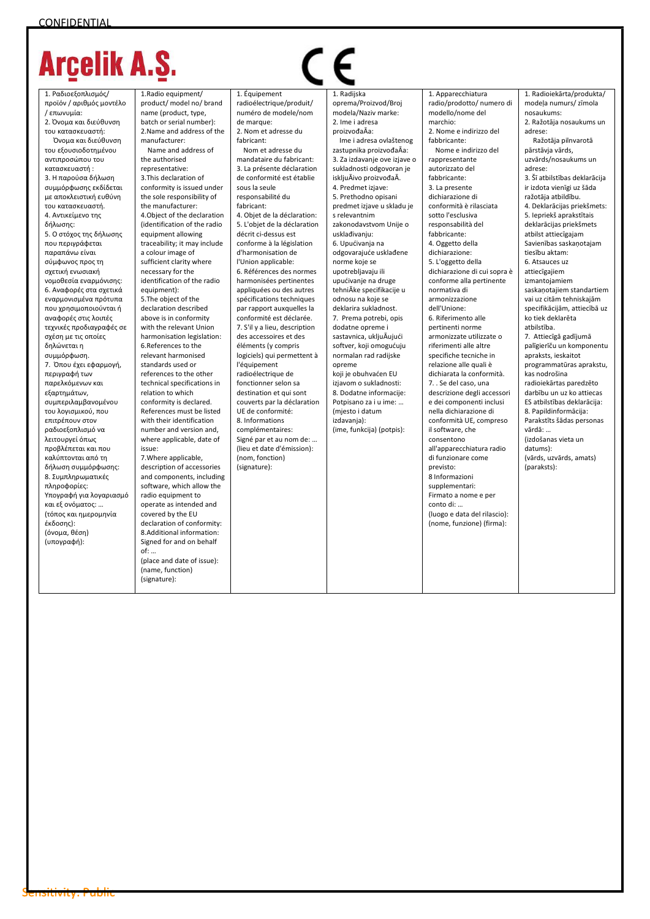1. Ραδιοεξοπλισμός/ προϊόν / αριθμός μοντέλο / επωνυμία: 2. Όνομα και διεύθυνση του κατασκευαστή:

 Όνομα και διεύθυνση του εξουσιοδοτημένου αντιπροσώπου του κατασκευαστή : 3. Η παρούσα δήλωση συμμόρφωσης εκδίδεται με αποκλειστική ευθύνη του κατασκευαστή. 4. Αντικείμενο της δήλωσης: 5. Ο στόχος της δήλωσης που περιγράφεται παραπάνω είναι σύμφωνος προς τη σχετική ενωσιακή νομοθεσία εναρμόνισης: 6. Αναφορές στα σχετικά εναρμονισμένα πρότυπα που χρησιμοποιούνται ή αναφορές στις λοιπές τεχνικές προδιαγραφές σε σχέση με τις οποίες δηλώνεται η συμμόρφωση. 7. Όπου έχει εφαρμογή, περιγραφή των παρελκόμενων και εξαρτημάτων, συμπεριλαμβανομένου του λογισμικού, που επιτρέπουν στον ραδιοεξοπλισμό να λειτουργεί όπως προβλέπεται και που καλύπτονται από τη δήλωση συμμόρφωσης: 8. Συμπληρωματικές πληροφορίες: Υπογραφή για λογαριασμό και εξ ονόματος: … (τόπος και ημερομηνία έκδοσης): (όνομα, θέση) (υπογραφή):

1.Radio equipment/ product/ model no/ brand name (product, type, batch or serial number): 2.Name and address of the manufacturer: Name and address of

the authorised representative: 3.This declaration of conformity is issued under the sole responsibility of the manufacturer: 4.Object of the declaration (identification of the radio equipment allowing traceability; it may include a colour image of sufficient clarity where necessary for the identification of the radio equipment): 5.The object of the declaration described above is in conformity with the relevant Union harmonisation legislation: 6.References to the relevant harmonised standards used or references to the other technical specifications in relation to which conformity is declared. References must be listed with their identification number and version and, where applicable, date of issue: 7.Where applicable, description of accessories and components, including software, which allow the

radio equipment to operate as intended and covered by the EU declaration of conformity: 8.Additional information: Signed for and on behalf of: … (place and date of issue):

(name, function) (signature):

1. Équipement radioélectrique/produit/ numéro de modele/nom de marque: 2. Nom et adresse du fabricant: Nom et adresse du

mandataire du fabricant: 3. La présente déclaration de conformité est établie sous la seule responsabilité du fabricant: 4. Objet de la déclaration: 5. L'objet de la déclaration décrit ci-dessus est conforme à la législation d'harmonisation de l'Union applicable: 6. Références des normes harmonisées pertinentes appliquées ou des autres spécifications techniques par rapport auxquelles la conformité est déclarée. 7. S'il y a lieu, description des accessoires et des éléments (y compris logiciels) qui permettent à l'équipement radioélectrique de fonctionner selon sa destination et qui sont couverts par la déclaration UE de conformité: 8. Informations complémentaires: Signé par et au nom de: (lieu et date d'émission): (nom, fonction) (signature):

 1. Radijska oprema/Proizvod/Broj modela/Naziv marke: 2. Ime i adresa proizvođaĀa: Ime i adresa ovlaštenog zastupnika proizvođaĀa: 3. Za izdavanje ove izjave o sukladnosti odgovoran je iskljuĀivo proizvođaĀ. 4. Predmet izjave: 5. Prethodno opisani predmet izjave u skladu je s relevantnim zakonodavstvom Unije o usklađivanju: 6. Upućivanja na odgovarajuće usklađene norme koje se upotrebljavaju ili upućivanje na druge tehniĀke specifikacije u odnosu na koje se deklarira sukladnost. 7. Prema potrebi, opis dodatne opreme i sastavnica, ukljuĀujući softver, koji omogućuju normalan rad radijske opreme koji je obuhvaćen EU izjavom o sukladnosti: 8. Dodatne informacije: Potpisano za i u ime: … (mjesto i datum izdavanja): (ime, funkcija) (potpis):

1. Apparecchiatura radio/prodotto/ numero di modello/nome del marchio: 2. Nome e indirizzo del fabbricante: Nome e indirizzo del rappresentante autorizzato del fabbricante: 3. La presente dichiarazione di conformità è rilasciata sotto l'esclusiva responsabilità del fabbricante: 4. Oggetto della dichiarazione: 5. L'oggetto della dichiarazione di cui sopra è conforme alla pertinente normativa di armonizzazione dell'Unione: 6. Riferimento alle pertinenti norme armonizzate utilizzate o riferimenti alle altre specifiche tecniche in relazione alle quali è dichiarata la conformità. 7. . Se del caso, una descrizione degli accessori e dei componenti inclusi nella dichiarazione di conformità UE, compreso il software, che consentono all'apparecchiatura radio di funzionare come previsto: 8 Informazioni supplementari: Firmato a nome e per conto di: … (luogo e data del rilascio): (nome, funzione) (firma):

1. Radioiekārta/produkta/ modela numurs/ zīmola nosaukums: 2. Ražotāja nosaukums un adrese: Ražotāja pilnvarotā pārstāvja vārds, uzvārds/nosaukums un adrese: 3. Šī atbilstības deklarācija ir izdota vienīgi uz šāda ražotāja atbildību. 4. Deklarācijas priekšmets: 5. Iepriekš aprakstītais deklarācijas priekšmets atbilst attiecīgajam Savienības saskaņotajam tiesību aktam: 6. Atsauces uz attiecīgajiem izmantojamiem saskaņotajiem standartiem vai uz citām tehniskajām specifikācijām, attiecībā uz ko tiek deklarēta atbilstība. 7. Attiecīgā gadījumā palīgierīču un komponentu apraksts, ieskaitot programmatūras aprakstu, kas nodrošina radioiekārtas paredzēto darbību un uz ko attiecas ES atbilstības deklarācija: 8. Papildinformācija: Parakstīts šādas personas vārdā: … (izdošanas vieta un datums): (vārds, uzvārds, amats) (paraksts):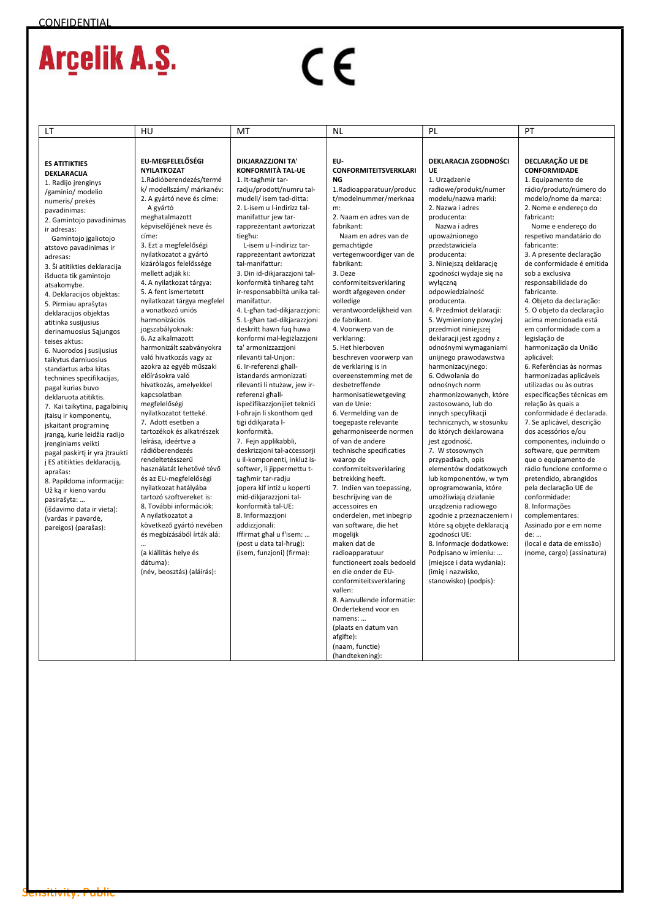# $C \in$

| LT                                                   | HU                                                  | МT                                                       | <b>NL</b>                                         | PL                                            | PT                                                    |
|------------------------------------------------------|-----------------------------------------------------|----------------------------------------------------------|---------------------------------------------------|-----------------------------------------------|-------------------------------------------------------|
|                                                      |                                                     |                                                          |                                                   |                                               |                                                       |
|                                                      |                                                     |                                                          |                                                   |                                               |                                                       |
| <b>ES ATITIKTIES</b>                                 | EU-MEGFELELŐSÉGI<br><b>NYILATKOZAT</b>              | DIKJARAZZJONI TA'<br><b>KONFORMITÀ TAL-UE</b>            | EU-<br><b>CONFORMITEITSVERKLARI</b>               | DEKLARACJA ZGODNOŚCI<br><b>UE</b>             | DECLARAÇÃO UE DE<br><b>CONFORMIDADE</b>               |
| DEKLARACIJA                                          | 1.Rádióberendezés/termé                             | 1. It-taghmir tar-                                       | NG                                                | 1. Urządzenie                                 | 1. Equipamento de                                     |
| 1. Radijo jrenginys                                  | k/ modellszám/ márkanév:                            | radju/prodott/numru tal-                                 | 1.Radioapparatuur/produc                          | radiowe/produkt/numer                         | rádio/produto/número do                               |
| /gaminio/ modelio                                    | 2. A gyártó neve és címe:                           | mudell/ isem tad-ditta:                                  | t/modelnummer/merknaa                             | modelu/nazwa marki:                           | modelo/nome da marca:                                 |
| numeris/ prekės<br>pavadinimas:                      | A gyártó                                            | 2. L-isem u l-indirizz tal-                              | m:                                                | 2. Nazwa i adres                              | 2. Nome e endereço do                                 |
| 2. Gamintojo pavadinimas                             | meghatalmazott                                      | manifattur jew tar-                                      | 2. Naam en adres van de                           | producenta:                                   | fabricant:                                            |
| ir adresas:                                          | képviselőjének neve és                              | rappreżentant awtorizzat                                 | fabrikant:                                        | Nazwa i adres                                 | Nome e endereço do                                    |
| Gamintojo įgaliotojo                                 | címe:                                               | tieghu:                                                  | Naam en adres van de                              | upoważnionego                                 | respetivo mandatário do                               |
| atstovo pavadinimas ir                               | 3. Ezt a megfelelőségi                              | L-isem u l-indirizz tar-                                 | gemachtigde                                       | przedstawiciela                               | fabricante:                                           |
| adresas:                                             | nyilatkozatot a gyártó                              | rappreżentant awtorizzat                                 | vertegenwoordiger van de                          | producenta:                                   | 3. A presente declaração                              |
| 3. Ši atitikties deklaracija                         | kizárólagos felelőssége                             | tal-manifattur:                                          | fabrikant:                                        | 3. Niniejszą deklarację                       | de conformidade é emitida                             |
| išduota tik gamintojo                                | mellett adják ki:                                   | 3. Din id-dikjarazzjoni tal-                             | 3. Deze                                           | zgodności wydaje się na                       | sob a exclusiva                                       |
| atsakomybe.                                          | 4. A nyilatkozat tárgya:                            | konformità tinhareg taht                                 | conformiteitsverklaring                           | wyłączną                                      | responsabilidade do                                   |
| 4. Deklaracijos objektas:                            | 5. A fent ismertetett                               | ir-responsabbiltà unika tal-<br>manifattur.              | wordt afgegeven onder<br>volledige                | odpowiedzialność                              | fabricante.                                           |
| 5. Pirmiau aprašytas                                 | nyilatkozat tárgya megfelel<br>a vonatkozó uniós    | 4. L-ghan tad-dikjarazzjoni:                             | verantwoordelijkheid van                          | producenta.<br>4. Przedmiot deklaracji:       | 4. Objeto da declaração:<br>5. O objeto da declaração |
| deklaracijos objektas                                | harmonizációs                                       | 5. L-ghan tad-dikjarazzjoni                              | de fabrikant.                                     | 5. Wymieniony powyżej                         | acima mencionada está                                 |
| atitinka susijusius<br>derinamuosius Sąjungos        | jogszabályoknak:                                    | deskritt hawn fug huwa                                   | 4. Voorwerp van de                                | przedmiot niniejszej                          | em conformidade com a                                 |
| teisės aktus:                                        | 6. Az alkalmazott                                   | konformi mal-leģiżlazzjoni                               | verklaring:                                       | deklaracji jest zgodny z                      | legislação de                                         |
| 6. Nuorodos į susijusius                             | harmonizált szabványokra                            | ta' armonizzazzjoni                                      | 5. Het hierboven                                  | odnośnymi wymaganiami                         | harmonização da União                                 |
| taikytus darniuosius                                 | való hivatkozás vagy az                             | rilevanti tal-Unjon:                                     | beschreven voorwerp van                           | unijnego prawodawstwa                         | aplicável:                                            |
| standartus arba kitas                                | azokra az egyéb műszaki                             | 6. Ir-referenzi ghall-                                   | de verklaring is in                               | harmonizacyjnego:                             | 6. Referências às normas                              |
| technines specifikacijas,                            | előírásokra való                                    | istandards armonizzati                                   | overeenstemming met de                            | 6. Odwołania do                               | harmonizadas aplicáveis                               |
| pagal kurias buvo                                    | hivatkozás, amelyekkel                              | rilevanti li ntużaw, jew ir-                             | desbetreffende                                    | odnośnych norm                                | utilizadas ou às outras                               |
| deklaruota atitiktis.                                | kapcsolatban                                        | referenzi ghall-                                         | harmonisatiewetgeving<br>van de Unie:             | zharmonizowanych, które                       | especificações técnicas em                            |
| 7. Kai taikytina, pagalbinių                         | megfelelőségi<br>nyilatkozatot tetteké.             | ispecifikazzjonijiet teknici<br>I-ohrajn li skonthom ged | 6. Vermelding van de                              | zastosowano, lub do<br>innych specyfikacji    | relação às quais a<br>conformidade é declarada.       |
| jtaisų ir komponentų,                                | 7. Adott esetben a                                  | tiģi ddikjarata I-                                       | toegepaste relevante                              | technicznych, w stosunku                      | 7. Se aplicável, descrição                            |
| jskaitant programinę<br>įrangą, kurie leidžia radijo | tartozékok és alkatrészek                           | konformità.                                              | geharmoniseerde normen                            | do których deklarowana                        | dos acessórios e/ou                                   |
| jrenginiams veikti                                   | leírása, ideértve a                                 | 7. Fejn applikabbli,                                     | of van de andere                                  | jest zgodność.                                | componentes, incluindo o                              |
| pagal paskirtj ir yra jtraukti                       | rádióberendezés                                     | deskrizzjoni tal-accessorji                              | technische specificaties                          | 7. W stosownych                               | software, que permitem                                |
| į ES atitikties deklaraciją,                         | rendeltetésszerű                                    | u il-komponenti, inkluż is-                              | waarop de                                         | przypadkach, opis                             | que o equipamento de                                  |
| aprašas:                                             | használatát lehetővé tévő                           | softwer, li jippermettu t-                               | conformiteitsverklaring                           | elementów dodatkowych                         | rádio funcione conforme o                             |
| 8. Papildoma informacija:                            | és az EU-megfelelőségi                              | taghmir tar-radju                                        | betrekking heeft.                                 | lub komponentów, w tym                        | pretendido, abrangidos                                |
| Už ka ir kieno vardu                                 | nyilatkozat hatályába                               | jopera kif intiż u koperti                               | 7. Indien van toepassing,                         | oprogramowania, które                         | pela declaração UE de                                 |
| pasirašyta:                                          | tartozó szoftvereket is:<br>8. További információk: | mid-dikjarazzjoni tal-<br>konformità tal-UE:             | beschrijving van de<br>accessoires en             | umożliwiają działanie<br>urządzenia radiowego | conformidade:<br>8. Informações                       |
| (išdavimo data ir vieta):                            | A nyilatkozatot a                                   | 8. Informazzioni                                         | onderdelen, met inbegrip                          | zgodnie z przeznaczeniem i                    | complementares:                                       |
| (vardas ir pavardė,                                  | következő gyártó nevében                            | addizzjonali:                                            | van software, die het                             | które są objęte deklaracją                    | Assinado por e em nome                                |
| pareigos) (parašas):                                 | és megbízásából írták alá:                          | Iffirmat ghal u f'isem:                                  | mogelijk                                          | zgodności UE:                                 | de:                                                   |
|                                                      |                                                     | (post u data tal-hrug):                                  | maken dat de                                      | 8. Informacje dodatkowe:                      | (local e data de emissão)                             |
|                                                      | (a kiállítás helye és                               | (isem, funzjoni) (firma):                                | radioapparatuur                                   | Podpisano w imieniu:                          | (nome, cargo) (assinatura)                            |
|                                                      | dátuma):                                            |                                                          | functioneert zoals bedoeld                        | (miejsce i data wydania):                     |                                                       |
|                                                      | (név, beosztás) (aláírás):                          |                                                          | en die onder de EU-                               | (imię i nazwisko,                             |                                                       |
|                                                      |                                                     |                                                          | conformiteitsverklaring                           | stanowisko) (podpis):                         |                                                       |
|                                                      |                                                     |                                                          | vallen:                                           |                                               |                                                       |
|                                                      |                                                     |                                                          | 8. Aanvullende informatie:<br>Ondertekend voor en |                                               |                                                       |
|                                                      |                                                     |                                                          | namens:                                           |                                               |                                                       |
|                                                      |                                                     |                                                          | (plaats en datum van                              |                                               |                                                       |
|                                                      |                                                     |                                                          | afgifte):                                         |                                               |                                                       |
|                                                      |                                                     |                                                          | (naam, functie)                                   |                                               |                                                       |
|                                                      |                                                     |                                                          | (handtekening):                                   |                                               |                                                       |